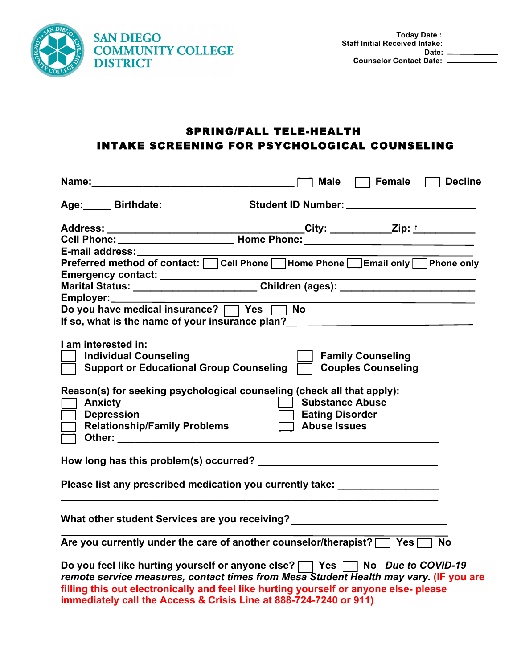

## SPRING/FALL TELE-HEALTH INTAKE SCREENING FOR PSYCHOLOGICAL COUNSELING

| Male $\Box$ Female $\Box$ Decline                                                                                                                                    |  |  |  |  |
|----------------------------------------------------------------------------------------------------------------------------------------------------------------------|--|--|--|--|
| Age: Birthdate: Student ID Number: 10 Number: 2008                                                                                                                   |  |  |  |  |
|                                                                                                                                                                      |  |  |  |  |
|                                                                                                                                                                      |  |  |  |  |
| E-mail address:                                                                                                                                                      |  |  |  |  |
| Preferred method of contact: Cell Phone Home Phone Email only Phone only                                                                                             |  |  |  |  |
|                                                                                                                                                                      |  |  |  |  |
| Emergency contact: ___________________Children (ages): _________________________<br>Marital Status: ______________________Children (ages): _________________________ |  |  |  |  |
| Employer: Employer:                                                                                                                                                  |  |  |  |  |
| Do you have medical insurance?   Yes   No                                                                                                                            |  |  |  |  |
| If so, what is the name of your insurance plan?<br><u>If so, what is the name of your insurance plan?</u>                                                            |  |  |  |  |
|                                                                                                                                                                      |  |  |  |  |
| I am interested in:                                                                                                                                                  |  |  |  |  |
| <b>Individual Counseling</b><br><b>Family Counseling</b>                                                                                                             |  |  |  |  |
| Support or Educational Group Counseling<br><b>Couples Counseling</b>                                                                                                 |  |  |  |  |
|                                                                                                                                                                      |  |  |  |  |
| Reason(s) for seeking psychological counseling (check all that apply):                                                                                               |  |  |  |  |
| <b>Anxiety</b><br>  Substance Abuse                                                                                                                                  |  |  |  |  |
| <b>Depression</b><br><b>Eating Disorder</b>                                                                                                                          |  |  |  |  |
| <b>Relationship/Family Problems</b><br>$\overline{\Box}$ Abuse Issues                                                                                                |  |  |  |  |
|                                                                                                                                                                      |  |  |  |  |
|                                                                                                                                                                      |  |  |  |  |
|                                                                                                                                                                      |  |  |  |  |
|                                                                                                                                                                      |  |  |  |  |
| Please list any prescribed medication you currently take: _________________                                                                                          |  |  |  |  |
|                                                                                                                                                                      |  |  |  |  |
|                                                                                                                                                                      |  |  |  |  |
| What other student Services are you receiving? _________________________________                                                                                     |  |  |  |  |
|                                                                                                                                                                      |  |  |  |  |
| Are you currently under the care of another counselor/therapist?   Yes   No                                                                                          |  |  |  |  |
| Do you feel like hurting yourself or anyone else?   Yes   No Due to COVID-19                                                                                         |  |  |  |  |
| remote service measures, contact times from Mesa Student Health may vary. (IF you are                                                                                |  |  |  |  |
| filling this out electronically and feel like hurting yourself or anyone else- please                                                                                |  |  |  |  |
| immediately call the Access & Crisis Line at 888-724-7240 or 911)                                                                                                    |  |  |  |  |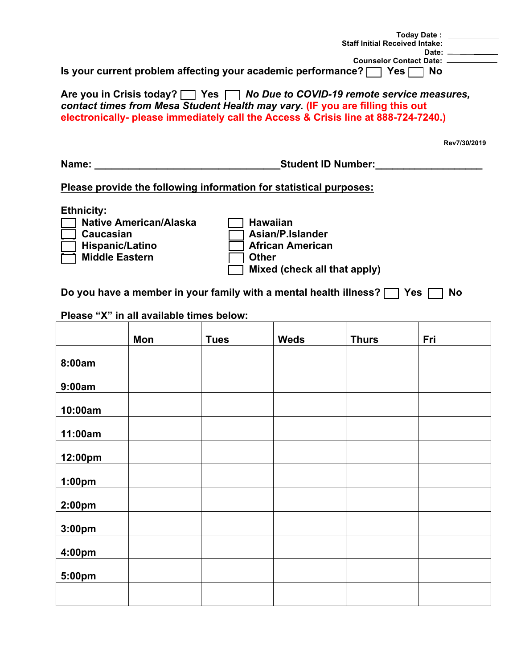|                                                                                                                                                                                                                                                               | Today Date: <u>__________</u><br><b>Staff Initial Received Intake:</b><br>Date: $\qquad \qquad$<br>Counselor Contact Date: ____________ |  |  |  |  |
|---------------------------------------------------------------------------------------------------------------------------------------------------------------------------------------------------------------------------------------------------------------|-----------------------------------------------------------------------------------------------------------------------------------------|--|--|--|--|
| Is your current problem affecting your academic performance? $\Box$ Yes $\Box$ No                                                                                                                                                                             |                                                                                                                                         |  |  |  |  |
| Are you in Crisis today? $\Box$ Yes $\Box$ No Due to COVID-19 remote service measures,<br>contact times from Mesa Student Health may vary. (IF you are filling this out<br>electronically- please immediately call the Access & Crisis line at 888-724-7240.) |                                                                                                                                         |  |  |  |  |
|                                                                                                                                                                                                                                                               | Rev7/30/2019                                                                                                                            |  |  |  |  |
| Name:                                                                                                                                                                                                                                                         | <b>Student ID Number:</b>                                                                                                               |  |  |  |  |
| Please provide the following information for statistical purposes:                                                                                                                                                                                            |                                                                                                                                         |  |  |  |  |

**Ethnicity:** 

**[ ] Native American/Alaska [ ] Hawaiian** 

Caucasian **in Exercise Exercise Political Asian/P.Islander**<br>■ **African American [ ] Hispanic/Latino [ ] African American Middle Eastern I** Other **[ ] Mixed (check all that apply)** 

Do you have a member in your family with a mental health illness?  $\Box$  Yes  $\Box$  No

**Please "X" in all available times below:** 

|                    | Mon | <b>Tues</b> | <b>Weds</b> | <b>Thurs</b> | Fri |
|--------------------|-----|-------------|-------------|--------------|-----|
| 8:00am             |     |             |             |              |     |
| 9:00am             |     |             |             |              |     |
| 10:00am            |     |             |             |              |     |
| 11:00am            |     |             |             |              |     |
|                    |     |             |             |              |     |
| 12:00pm            |     |             |             |              |     |
| 1:00 <sub>pm</sub> |     |             |             |              |     |
| 2:00pm             |     |             |             |              |     |
| 3:00pm             |     |             |             |              |     |
| 4:00pm             |     |             |             |              |     |
| 5:00pm             |     |             |             |              |     |
|                    |     |             |             |              |     |